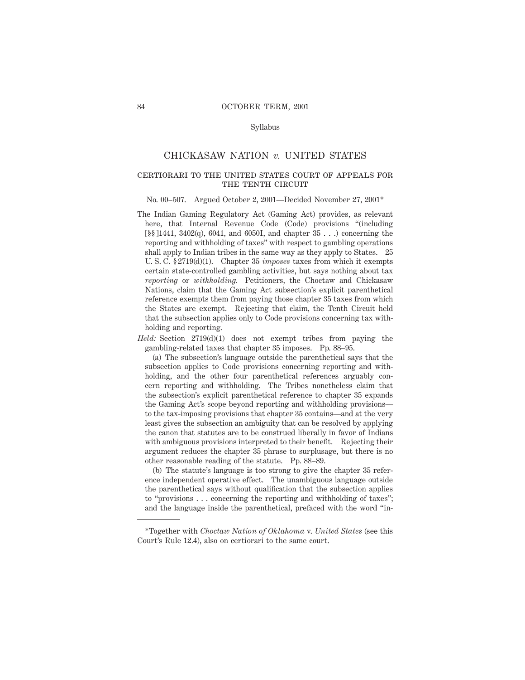### Syllabus

# CHICKASAW NATION *v.* UNITED STATES

# certiorari to the united states court of appeals for THE TENTH CIRCUIT

#### No. 00–507. Argued October 2, 2001—Decided November 27, 2001\*

The Indian Gaming Regulatory Act (Gaming Act) provides, as relevant here, that Internal Revenue Code (Code) provisions "(including  $[$ §§ [1441, 3402(q), 6041, and 6050I, and chapter 35 . . .) concerning the reporting and withholding of taxes" with respect to gambling operations shall apply to Indian tribes in the same way as they apply to States. 25 U. S. C. § 2719(d)(1). Chapter 35 *imposes* taxes from which it exempts certain state-controlled gambling activities, but says nothing about tax *reporting* or *withholding.* Petitioners, the Choctaw and Chickasaw Nations, claim that the Gaming Act subsection's explicit parenthetical reference exempts them from paying those chapter 35 taxes from which the States are exempt. Rejecting that claim, the Tenth Circuit held that the subsection applies only to Code provisions concerning tax withholding and reporting.

*Held:* Section 2719(d)(1) does not exempt tribes from paying the gambling-related taxes that chapter 35 imposes. Pp. 88–95.

(a) The subsection's language outside the parenthetical says that the subsection applies to Code provisions concerning reporting and withholding, and the other four parenthetical references arguably concern reporting and withholding. The Tribes nonetheless claim that the subsection's explicit parenthetical reference to chapter 35 expands the Gaming Act's scope beyond reporting and withholding provisions to the tax-imposing provisions that chapter 35 contains—and at the very least gives the subsection an ambiguity that can be resolved by applying the canon that statutes are to be construed liberally in favor of Indians with ambiguous provisions interpreted to their benefit. Rejecting their argument reduces the chapter 35 phrase to surplusage, but there is no other reasonable reading of the statute. Pp. 88–89.

(b) The statute's language is too strong to give the chapter 35 reference independent operative effect. The unambiguous language outside the parenthetical says without qualification that the subsection applies to "provisions . . . concerning the reporting and withholding of taxes"; and the language inside the parenthetical, prefaced with the word "in-

<sup>\*</sup>Together with *Choctaw Nation of Oklahoma* v. *United States* (see this Court's Rule 12.4), also on certiorari to the same court.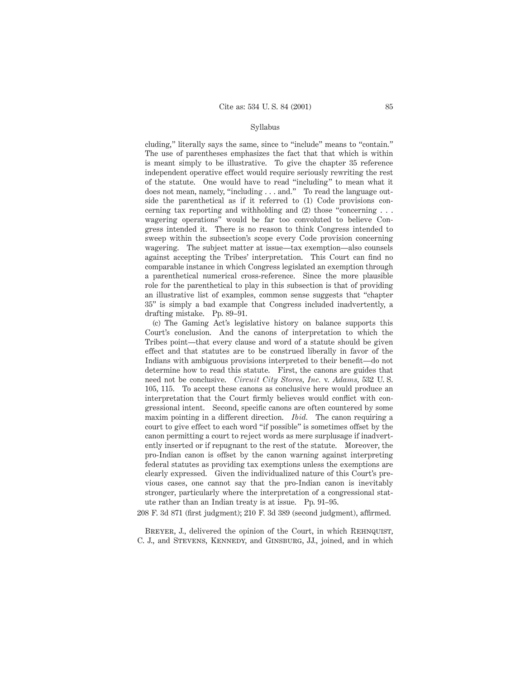### Syllabus

cluding," literally says the same, since to "include" means to "contain." The use of parentheses emphasizes the fact that that which is within is meant simply to be illustrative. To give the chapter 35 reference independent operative effect would require seriously rewriting the rest of the statute. One would have to read "including" to mean what it does not mean, namely, "including . . . and." To read the language outside the parenthetical as if it referred to (1) Code provisions concerning tax reporting and withholding and (2) those "concerning . . . wagering operations" would be far too convoluted to believe Congress intended it. There is no reason to think Congress intended to sweep within the subsection's scope every Code provision concerning wagering. The subject matter at issue—tax exemption—also counsels against accepting the Tribes' interpretation. This Court can find no comparable instance in which Congress legislated an exemption through a parenthetical numerical cross-reference. Since the more plausible role for the parenthetical to play in this subsection is that of providing an illustrative list of examples, common sense suggests that "chapter 35" is simply a bad example that Congress included inadvertently, a drafting mistake. Pp. 89–91.

(c) The Gaming Act's legislative history on balance supports this Court's conclusion. And the canons of interpretation to which the Tribes point—that every clause and word of a statute should be given effect and that statutes are to be construed liberally in favor of the Indians with ambiguous provisions interpreted to their benefit—do not determine how to read this statute. First, the canons are guides that need not be conclusive. *Circuit City Stores, Inc.* v. *Adams,* 532 U. S. 105, 115. To accept these canons as conclusive here would produce an interpretation that the Court firmly believes would conflict with congressional intent. Second, specific canons are often countered by some maxim pointing in a different direction. *Ibid.* The canon requiring a court to give effect to each word "if possible" is sometimes offset by the canon permitting a court to reject words as mere surplusage if inadvertently inserted or if repugnant to the rest of the statute. Moreover, the pro-Indian canon is offset by the canon warning against interpreting federal statutes as providing tax exemptions unless the exemptions are clearly expressed. Given the individualized nature of this Court's previous cases, one cannot say that the pro-Indian canon is inevitably stronger, particularly where the interpretation of a congressional statute rather than an Indian treaty is at issue. Pp. 91–95.

208 F. 3d 871 (first judgment); 210 F. 3d 389 (second judgment), affirmed.

BREYER, J., delivered the opinion of the Court, in which REHNQUIST, C. J., and Stevens, Kennedy, and Ginsburg, JJ., joined, and in which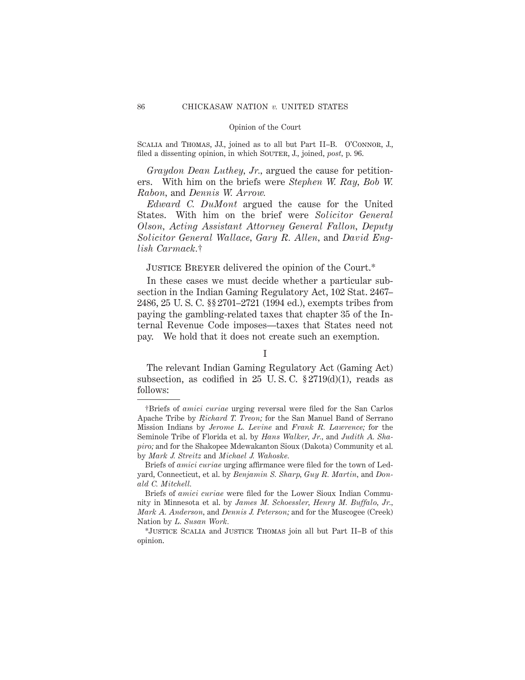Scalia and Thomas, JJ., joined as to all but Part II–B. O'Connor, J., filed a dissenting opinion, in which SOUTER, J., joined, *post*, p. 96.

*Graydon Dean Luthey, Jr.,* argued the cause for petitioners. With him on the briefs were *Stephen W. Ray, Bob W. Rabon,* and *Dennis W. Arrow.*

*Edward C. DuMont* argued the cause for the United States. With him on the brief were *Solicitor General Olson, Acting Assistant Attorney General Fallon, Deputy Solicitor General Wallace, Gary R. Allen,* and *David English Carmack.*†

JUSTICE BREYER delivered the opinion of the Court.\*

In these cases we must decide whether a particular subsection in the Indian Gaming Regulatory Act, 102 Stat. 2467– 2486, 25 U. S. C. §§ 2701–2721 (1994 ed.), exempts tribes from paying the gambling-related taxes that chapter 35 of the Internal Revenue Code imposes—taxes that States need not pay. We hold that it does not create such an exemption.

### I

The relevant Indian Gaming Regulatory Act (Gaming Act) subsection, as codified in 25 U.S.C.  $$2719(d)(1)$ , reads as follows:

<sup>†</sup>Briefs of *amici curiae* urging reversal were filed for the San Carlos Apache Tribe by *Richard T. Treon;* for the San Manuel Band of Serrano Mission Indians by *Jerome L. Levine* and *Frank R. Lawrence;* for the Seminole Tribe of Florida et al. by *Hans Walker, Jr.,* and *Judith A. Shapiro;* and for the Shakopee Mdewakanton Sioux (Dakota) Community et al. by *Mark J. Streitz* and *Michael J. Wahoske.*

Briefs of *amici curiae* urging affirmance were filed for the town of Ledyard, Connecticut, et al. by *Benjamin S. Sharp, Guy R. Martin,* and *Donald C. Mitchell.*

Briefs of *amici curiae* were filed for the Lower Sioux Indian Community in Minnesota et al. by *James M. Schoessler, Henry M. Buffalo, Jr., Mark A. Anderson,* and *Dennis J. Peterson;* and for the Muscogee (Creek) Nation by *L. Susan Work.*

<sup>\*</sup>Justice Scalia and Justice Thomas join all but Part II–B of this opinion.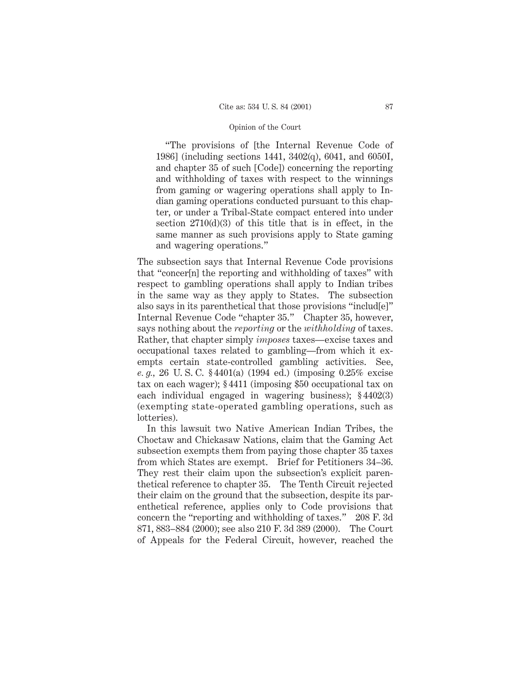"The provisions of [the Internal Revenue Code of 1986] (including sections 1441, 3402(q), 6041, and 6050I, and chapter 35 of such [Code]) concerning the reporting and withholding of taxes with respect to the winnings from gaming or wagering operations shall apply to Indian gaming operations conducted pursuant to this chapter, or under a Tribal-State compact entered into under section 2710(d)(3) of this title that is in effect, in the same manner as such provisions apply to State gaming and wagering operations."

The subsection says that Internal Revenue Code provisions that "concer[n] the reporting and withholding of taxes" with respect to gambling operations shall apply to Indian tribes in the same way as they apply to States. The subsection also says in its parenthetical that those provisions "includ[e]" Internal Revenue Code "chapter 35." Chapter 35, however, says nothing about the *reporting* or the *withholding* of taxes. Rather, that chapter simply *imposes* taxes—excise taxes and occupational taxes related to gambling—from which it exempts certain state-controlled gambling activities. See, *e. g.,* 26 U. S. C. § 4401(a) (1994 ed.) (imposing 0.25% excise tax on each wager); § 4411 (imposing \$50 occupational tax on each individual engaged in wagering business); § 4402(3) (exempting state-operated gambling operations, such as lotteries).

In this lawsuit two Native American Indian Tribes, the Choctaw and Chickasaw Nations, claim that the Gaming Act subsection exempts them from paying those chapter 35 taxes from which States are exempt. Brief for Petitioners 34–36. They rest their claim upon the subsection's explicit parenthetical reference to chapter 35. The Tenth Circuit rejected their claim on the ground that the subsection, despite its parenthetical reference, applies only to Code provisions that concern the "reporting and withholding of taxes." 208 F. 3d 871, 883–884 (2000); see also 210 F. 3d 389 (2000). The Court of Appeals for the Federal Circuit, however, reached the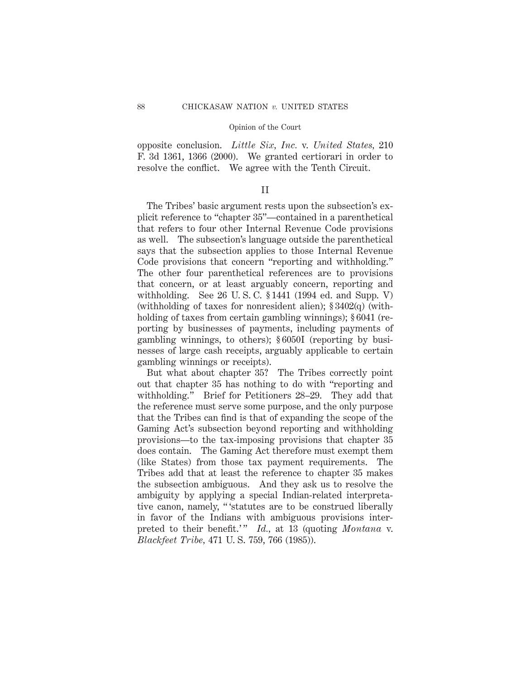opposite conclusion. *Little Six, Inc.* v. *United States,* 210 F. 3d 1361, 1366 (2000). We granted certiorari in order to resolve the conflict. We agree with the Tenth Circuit.

### II

The Tribes' basic argument rests upon the subsection's explicit reference to "chapter 35"—contained in a parenthetical that refers to four other Internal Revenue Code provisions as well. The subsection's language outside the parenthetical says that the subsection applies to those Internal Revenue Code provisions that concern "reporting and withholding." The other four parenthetical references are to provisions that concern, or at least arguably concern, reporting and withholding. See 26 U. S. C. § 1441 (1994 ed. and Supp. V) (withholding of taxes for nonresident alien); § 3402(q) (withholding of taxes from certain gambling winnings);  $\S 6041$  (reporting by businesses of payments, including payments of gambling winnings, to others); § 6050I (reporting by businesses of large cash receipts, arguably applicable to certain gambling winnings or receipts).

But what about chapter 35? The Tribes correctly point out that chapter 35 has nothing to do with "reporting and withholding." Brief for Petitioners 28–29. They add that the reference must serve some purpose, and the only purpose that the Tribes can find is that of expanding the scope of the Gaming Act's subsection beyond reporting and withholding provisions—to the tax-imposing provisions that chapter 35 does contain. The Gaming Act therefore must exempt them (like States) from those tax payment requirements. The Tribes add that at least the reference to chapter 35 makes the subsection ambiguous. And they ask us to resolve the ambiguity by applying a special Indian-related interpretative canon, namely, " 'statutes are to be construed liberally in favor of the Indians with ambiguous provisions interpreted to their benefit.'" *Id.*, at 13 (quoting *Montana* v. *Blackfeet Tribe,* 471 U. S. 759, 766 (1985)).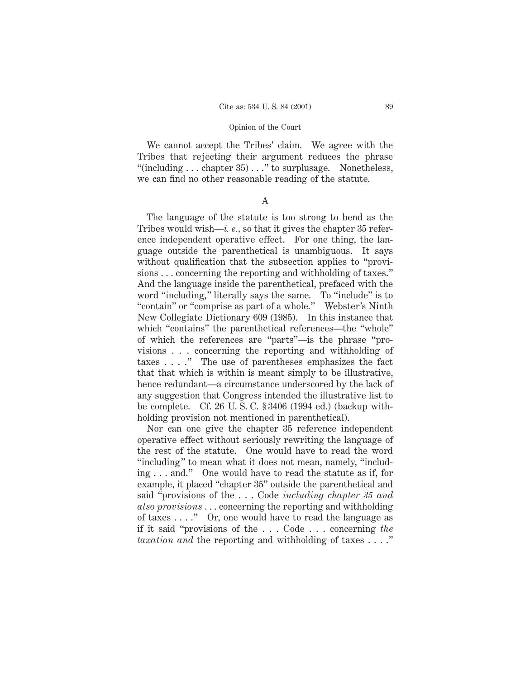We cannot accept the Tribes' claim. We agree with the Tribes that rejecting their argument reduces the phrase "(including  $\dots$  chapter 35)  $\dots$ " to surplusage. Nonetheless, we can find no other reasonable reading of the statute.

A

The language of the statute is too strong to bend as the Tribes would wish—*i. e.,* so that it gives the chapter 35 reference independent operative effect. For one thing, the language outside the parenthetical is unambiguous. It says without qualification that the subsection applies to "provisions . . . concerning the reporting and withholding of taxes." And the language inside the parenthetical, prefaced with the word "including," literally says the same. To "include" is to "contain" or "comprise as part of a whole." Webster's Ninth New Collegiate Dictionary 609 (1985). In this instance that which "contains" the parenthetical references—the "whole" of which the references are "parts"—is the phrase "provisions . . . concerning the reporting and withholding of taxes . . . ." The use of parentheses emphasizes the fact that that which is within is meant simply to be illustrative, hence redundant—a circumstance underscored by the lack of any suggestion that Congress intended the illustrative list to be complete. Cf. 26 U. S. C. § 3406 (1994 ed.) (backup withholding provision not mentioned in parenthetical).

Nor can one give the chapter 35 reference independent operative effect without seriously rewriting the language of the rest of the statute. One would have to read the word "including" to mean what it does not mean, namely, "including . . . and." One would have to read the statute as if, for example, it placed "chapter 35" outside the parenthetical and said "provisions of the . . . Code *including chapter 35 and also provisions* . . . concerning the reporting and withholding of taxes . . . ." Or, one would have to read the language as if it said "provisions of the... Code . . . concerning *the taxation and* the reporting and withholding of taxes . . . ."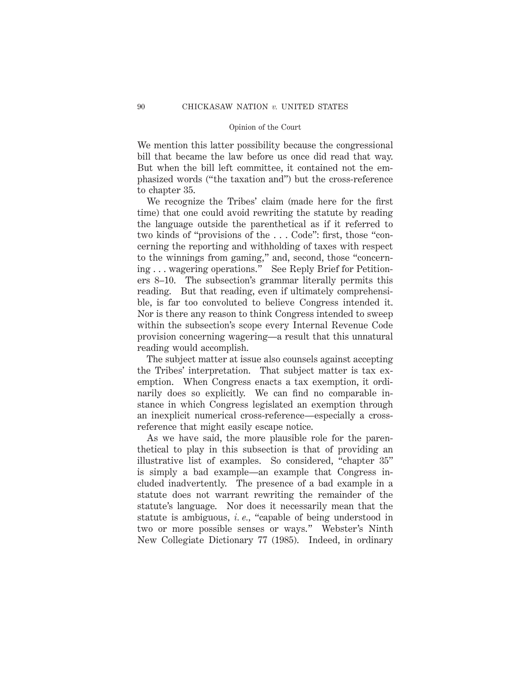We mention this latter possibility because the congressional bill that became the law before us once did read that way. But when the bill left committee, it contained not the emphasized words ("the taxation and") but the cross-reference to chapter 35.

We recognize the Tribes' claim (made here for the first time) that one could avoid rewriting the statute by reading the language outside the parenthetical as if it referred to two kinds of "provisions of the . . . Code": first, those "concerning the reporting and withholding of taxes with respect to the winnings from gaming," and, second, those "concerning . . . wagering operations." See Reply Brief for Petitioners 8–10. The subsection's grammar literally permits this reading. But that reading, even if ultimately comprehensible, is far too convoluted to believe Congress intended it. Nor is there any reason to think Congress intended to sweep within the subsection's scope every Internal Revenue Code provision concerning wagering—a result that this unnatural reading would accomplish.

The subject matter at issue also counsels against accepting the Tribes' interpretation. That subject matter is tax exemption. When Congress enacts a tax exemption, it ordinarily does so explicitly. We can find no comparable instance in which Congress legislated an exemption through an inexplicit numerical cross-reference—especially a crossreference that might easily escape notice.

As we have said, the more plausible role for the parenthetical to play in this subsection is that of providing an illustrative list of examples. So considered, "chapter 35" is simply a bad example—an example that Congress included inadvertently. The presence of a bad example in a statute does not warrant rewriting the remainder of the statute's language. Nor does it necessarily mean that the statute is ambiguous, *i. e.,* "capable of being understood in two or more possible senses or ways." Webster's Ninth New Collegiate Dictionary 77 (1985). Indeed, in ordinary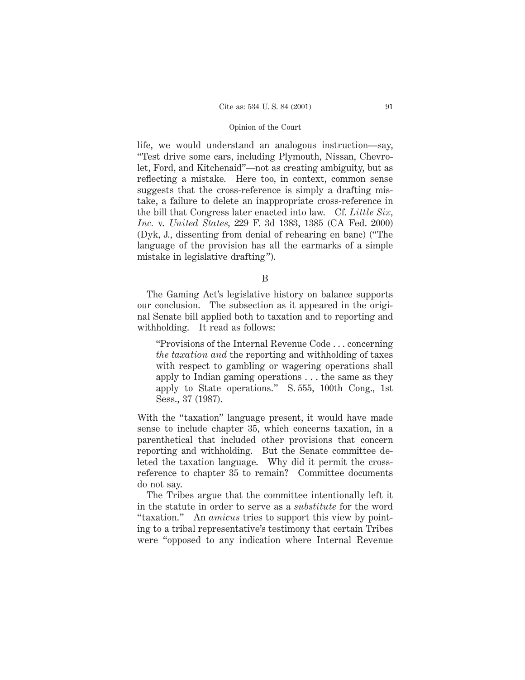life, we would understand an analogous instruction—say, "Test drive some cars, including Plymouth, Nissan, Chevrolet, Ford, and Kitchenaid"—not as creating ambiguity, but as reflecting a mistake. Here too, in context, common sense suggests that the cross-reference is simply a drafting mistake, a failure to delete an inappropriate cross-reference in the bill that Congress later enacted into law. Cf. *Little Six, Inc.* v. *United States,* 229 F. 3d 1383, 1385 (CA Fed. 2000) (Dyk, J., dissenting from denial of rehearing en banc) ("The language of the provision has all the earmarks of a simple mistake in legislative drafting").

B

The Gaming Act's legislative history on balance supports our conclusion. The subsection as it appeared in the original Senate bill applied both to taxation and to reporting and withholding. It read as follows:

"Provisions of the Internal Revenue Code... concerning *the taxation and* the reporting and withholding of taxes with respect to gambling or wagering operations shall apply to Indian gaming operations . . . the same as they apply to State operations." S. 555, 100th Cong., 1st Sess., 37 (1987).

With the "taxation" language present, it would have made sense to include chapter 35, which concerns taxation, in a parenthetical that included other provisions that concern reporting and withholding. But the Senate committee deleted the taxation language. Why did it permit the crossreference to chapter 35 to remain? Committee documents do not say.

The Tribes argue that the committee intentionally left it in the statute in order to serve as a *substitute* for the word "taxation." An *amicus* tries to support this view by pointing to a tribal representative's testimony that certain Tribes were "opposed to any indication where Internal Revenue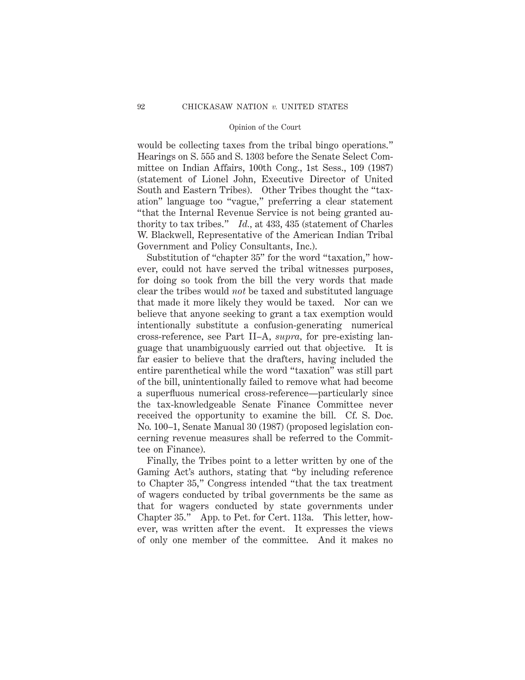would be collecting taxes from the tribal bingo operations." Hearings on S. 555 and S. 1303 before the Senate Select Committee on Indian Affairs, 100th Cong., 1st Sess., 109 (1987) (statement of Lionel John, Executive Director of United South and Eastern Tribes). Other Tribes thought the "taxation" language too "vague," preferring a clear statement "that the Internal Revenue Service is not being granted authority to tax tribes." *Id.,* at 433, 435 (statement of Charles W. Blackwell, Representative of the American Indian Tribal Government and Policy Consultants, Inc.).

Substitution of "chapter 35" for the word "taxation," however, could not have served the tribal witnesses purposes, for doing so took from the bill the very words that made clear the tribes would *not* be taxed and substituted language that made it more likely they would be taxed. Nor can we believe that anyone seeking to grant a tax exemption would intentionally substitute a confusion-generating numerical cross-reference, see Part II–A, *supra,* for pre-existing language that unambiguously carried out that objective. It is far easier to believe that the drafters, having included the entire parenthetical while the word "taxation" was still part of the bill, unintentionally failed to remove what had become a superfluous numerical cross-reference—particularly since the tax-knowledgeable Senate Finance Committee never received the opportunity to examine the bill. Cf. S. Doc. No. 100–1, Senate Manual 30 (1987) (proposed legislation concerning revenue measures shall be referred to the Committee on Finance).

Finally, the Tribes point to a letter written by one of the Gaming Act's authors, stating that "by including reference to Chapter 35," Congress intended "that the tax treatment of wagers conducted by tribal governments be the same as that for wagers conducted by state governments under Chapter 35." App. to Pet. for Cert. 113a. This letter, however, was written after the event. It expresses the views of only one member of the committee. And it makes no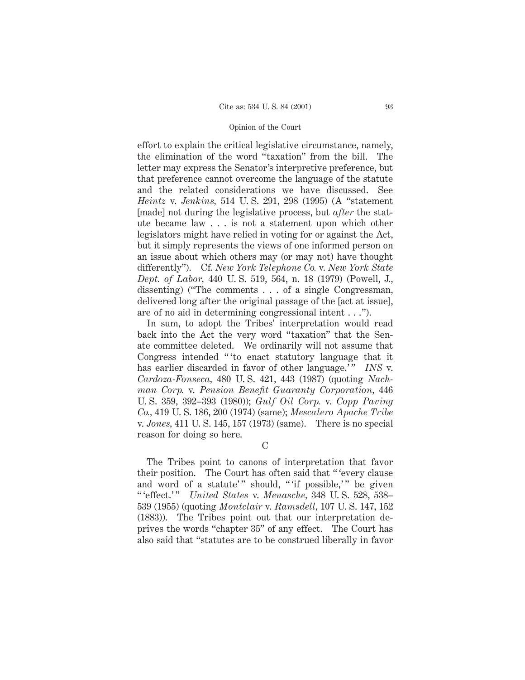effort to explain the critical legislative circumstance, namely, the elimination of the word "taxation" from the bill. The letter may express the Senator's interpretive preference, but that preference cannot overcome the language of the statute and the related considerations we have discussed. See *Heintz* v. *Jenkins,* 514 U. S. 291, 298 (1995) (A "statement [made] not during the legislative process, but *after* the statute became law . . . is not a statement upon which other legislators might have relied in voting for or against the Act, but it simply represents the views of one informed person on an issue about which others may (or may not) have thought differently"). Cf. *New York Telephone Co.* v. *New York State Dept. of Labor,* 440 U. S. 519, 564, n. 18 (1979) (Powell, J., dissenting) ("The comments . . . of a single Congressman, delivered long after the original passage of the [act at issue], are of no aid in determining congressional intent . . .").

In sum, to adopt the Tribes' interpretation would read back into the Act the very word "taxation" that the Senate committee deleted. We ordinarily will not assume that Congress intended " 'to enact statutory language that it has earlier discarded in favor of other language.'" *INS* v. *Cardoza-Fonseca,* 480 U. S. 421, 443 (1987) (quoting *Nachman Corp.* v. *Pension Benefit Guaranty Corporation,* 446 U. S. 359, 392–393 (1980)); *Gulf Oil Corp.* v. *Copp Paving Co.,* 419 U. S. 186, 200 (1974) (same); *Mescalero Apache Tribe* v. *Jones,* 411 U. S. 145, 157 (1973) (same). There is no special reason for doing so here.

 $\mathcal{C}$ 

The Tribes point to canons of interpretation that favor their position. The Court has often said that " 'every clause and word of a statute'" should, ""if possible," be given " 'effect.' " *United States* v. *Menasche,* 348 U. S. 528, 538– 539 (1955) (quoting *Montclair* v. *Ramsdell,* 107 U. S. 147, 152 (1883)). The Tribes point out that our interpretation deprives the words "chapter 35" of any effect. The Court has also said that "statutes are to be construed liberally in favor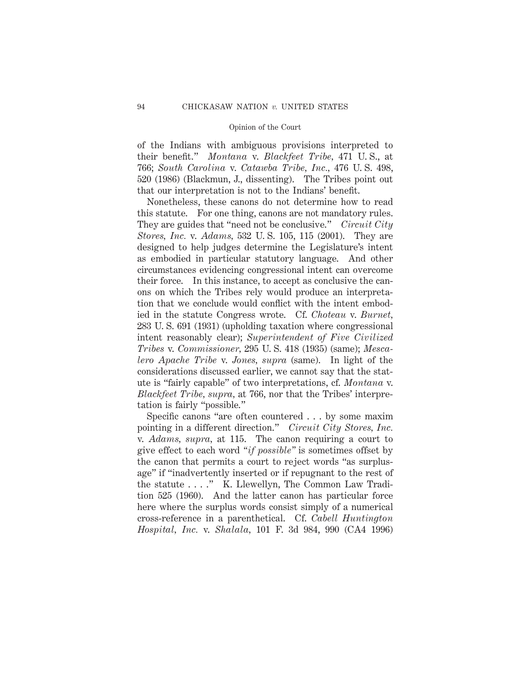of the Indians with ambiguous provisions interpreted to their benefit." *Montana* v. *Blackfeet Tribe,* 471 U. S., at 766; *South Carolina* v. *Catawba Tribe, Inc.,* 476 U. S. 498, 520 (1986) (Blackmun, J., dissenting). The Tribes point out that our interpretation is not to the Indians' benefit.

Nonetheless, these canons do not determine how to read this statute. For one thing, canons are not mandatory rules. They are guides that "need not be conclusive." *Circuit City Stores, Inc.* v. *Adams,* 532 U. S. 105, 115 (2001). They are designed to help judges determine the Legislature's intent as embodied in particular statutory language. And other circumstances evidencing congressional intent can overcome their force. In this instance, to accept as conclusive the canons on which the Tribes rely would produce an interpretation that we conclude would conflict with the intent embodied in the statute Congress wrote. Cf. *Choteau* v. *Burnet,* 283 U. S. 691 (1931) (upholding taxation where congressional intent reasonably clear); *Superintendent of Five Civilized Tribes* v. *Commissioner,* 295 U. S. 418 (1935) (same); *Mescalero Apache Tribe* v. *Jones, supra* (same). In light of the considerations discussed earlier, we cannot say that the statute is "fairly capable" of two interpretations, cf. *Montana* v. *Blackfeet Tribe, supra,* at 766, nor that the Tribes' interpretation is fairly "possible."

Specific canons "are often countered . . . by some maxim pointing in a different direction." *Circuit City Stores, Inc.* v. *Adams, supra,* at 115. The canon requiring a court to give effect to each word *"if possible"* is sometimes offset by the canon that permits a court to reject words "as surplusage" if "inadvertently inserted or if repugnant to the rest of the statute . . . ." K. Llewellyn, The Common Law Tradition 525 (1960). And the latter canon has particular force here where the surplus words consist simply of a numerical cross-reference in a parenthetical. Cf. *Cabell Huntington Hospital, Inc.* v. *Shalala,* 101 F. 3d 984, 990 (CA4 1996)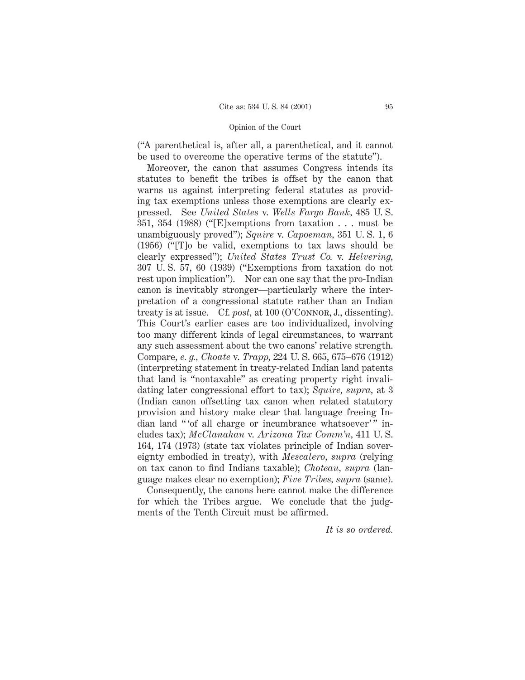("A parenthetical is, after all, a parenthetical, and it cannot be used to overcome the operative terms of the statute").

Moreover, the canon that assumes Congress intends its statutes to benefit the tribes is offset by the canon that warns us against interpreting federal statutes as providing tax exemptions unless those exemptions are clearly expressed. See *United States* v. *Wells Fargo Bank,* 485 U. S. 351, 354 (1988) ("[E]xemptions from taxation . . . must be unambiguously proved"); *Squire* v. *Capoeman,* 351 U. S. 1, 6 (1956) ("[T]o be valid, exemptions to tax laws should be clearly expressed"); *United States Trust Co.* v. *Helvering,* 307 U. S. 57, 60 (1939) ("Exemptions from taxation do not rest upon implication"). Nor can one say that the pro-Indian canon is inevitably stronger—particularly where the interpretation of a congressional statute rather than an Indian treaty is at issue. Cf. *post,* at 100 (O'Connor, J., dissenting). This Court's earlier cases are too individualized, involving too many different kinds of legal circumstances, to warrant any such assessment about the two canons' relative strength. Compare, *e. g., Choate* v. *Trapp,* 224 U. S. 665, 675–676 (1912) (interpreting statement in treaty-related Indian land patents that land is "nontaxable" as creating property right invalidating later congressional effort to tax); *Squire, supra,* at 3 (Indian canon offsetting tax canon when related statutory provision and history make clear that language freeing Indian land "of all charge or incumbrance whatsoever" includes tax); *McClanahan* v. *Arizona Tax Comm'n,* 411 U. S. 164, 174 (1973) (state tax violates principle of Indian sovereignty embodied in treaty), with *Mescalero, supra* (relying on tax canon to find Indians taxable); *Choteau, supra* (language makes clear no exemption); *Five Tribes, supra* (same).

Consequently, the canons here cannot make the difference for which the Tribes argue. We conclude that the judgments of the Tenth Circuit must be affirmed.

*It is so ordered.*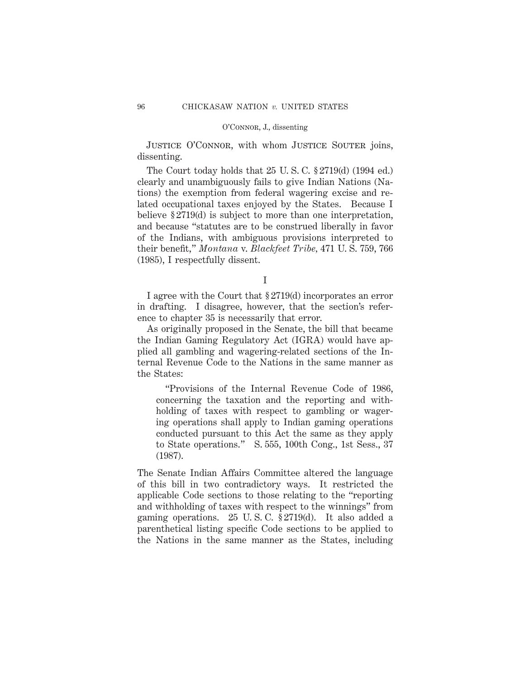JUSTICE O'CONNOR, with whom JUSTICE SOUTER joins, dissenting.

The Court today holds that 25 U. S. C. § 2719(d) (1994 ed.) clearly and unambiguously fails to give Indian Nations (Nations) the exemption from federal wagering excise and related occupational taxes enjoyed by the States. Because I believe § 2719(d) is subject to more than one interpretation, and because "statutes are to be construed liberally in favor of the Indians, with ambiguous provisions interpreted to their benefit," *Montana* v. *Blackfeet Tribe,* 471 U. S. 759, 766 (1985), I respectfully dissent.

I

I agree with the Court that § 2719(d) incorporates an error in drafting. I disagree, however, that the section's reference to chapter 35 is necessarily that error.

As originally proposed in the Senate, the bill that became the Indian Gaming Regulatory Act (IGRA) would have applied all gambling and wagering-related sections of the Internal Revenue Code to the Nations in the same manner as the States:

"Provisions of the Internal Revenue Code of 1986, concerning the taxation and the reporting and withholding of taxes with respect to gambling or wagering operations shall apply to Indian gaming operations conducted pursuant to this Act the same as they apply to State operations." S. 555, 100th Cong., 1st Sess., 37 (1987).

The Senate Indian Affairs Committee altered the language of this bill in two contradictory ways. It restricted the applicable Code sections to those relating to the "reporting and withholding of taxes with respect to the winnings" from gaming operations. 25 U. S. C. § 2719(d). It also added a parenthetical listing specific Code sections to be applied to the Nations in the same manner as the States, including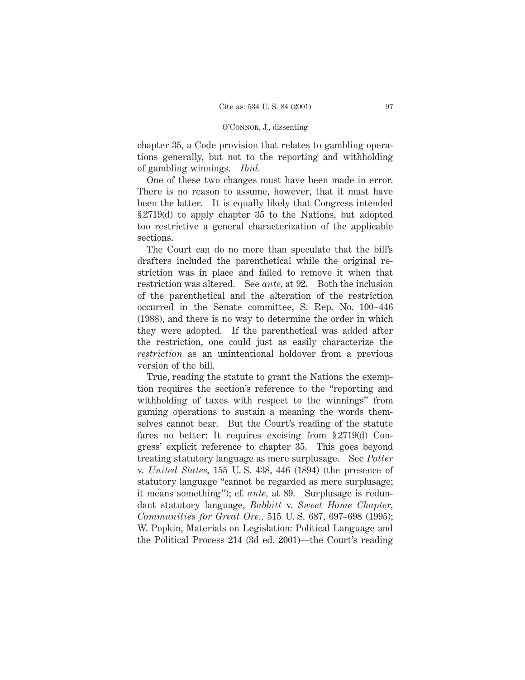chapter 35, a Code provision that relates to gambling operations generally, but not to the reporting and withholding of gambling winnings. *Ibid.*

One of these two changes must have been made in error. There is no reason to assume, however, that it must have been the latter. It is equally likely that Congress intended § 2719(d) to apply chapter 35 to the Nations, but adopted too restrictive a general characterization of the applicable sections.

The Court can do no more than speculate that the bill's drafters included the parenthetical while the original restriction was in place and failed to remove it when that restriction was altered. See *ante,* at 92. Both the inclusion of the parenthetical and the alteration of the restriction occurred in the Senate committee, S. Rep. No. 100–446 (1988), and there is no way to determine the order in which they were adopted. If the parenthetical was added after the restriction, one could just as easily characterize the *restriction* as an unintentional holdover from a previous version of the bill.

True, reading the statute to grant the Nations the exemption requires the section's reference to the "reporting and withholding of taxes with respect to the winnings" from gaming operations to sustain a meaning the words themselves cannot bear. But the Court's reading of the statute fares no better: It requires excising from § 2719(d) Congress' explicit reference to chapter 35. This goes beyond treating statutory language as mere surplusage. See *Potter* v. *United States,* 155 U. S. 438, 446 (1894) (the presence of statutory language "cannot be regarded as mere surplusage; it means something"); cf. *ante,* at 89. Surplusage is redundant statutory language, *Babbitt* v. *Sweet Home Chapter, Communities for Great Ore.,* 515 U. S. 687, 697–698 (1995); W. Popkin, Materials on Legislation: Political Language and the Political Process 214 (3d ed. 2001)—the Court's reading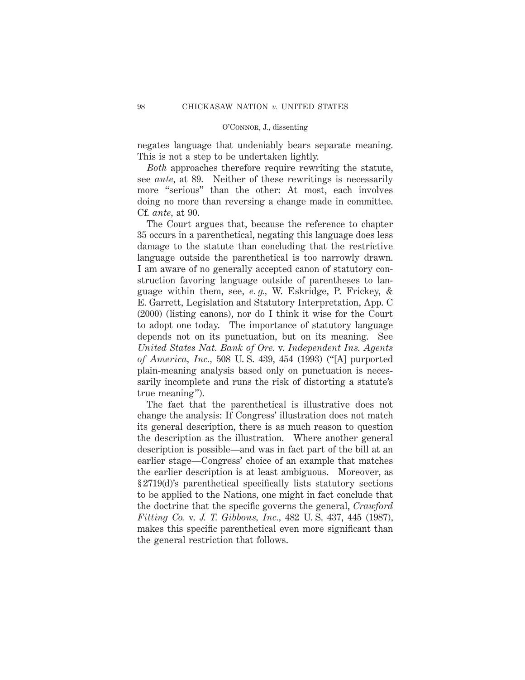negates language that undeniably bears separate meaning. This is not a step to be undertaken lightly.

*Both* approaches therefore require rewriting the statute, see *ante,* at 89. Neither of these rewritings is necessarily more "serious" than the other: At most, each involves doing no more than reversing a change made in committee. Cf. *ante,* at 90.

The Court argues that, because the reference to chapter 35 occurs in a parenthetical, negating this language does less damage to the statute than concluding that the restrictive language outside the parenthetical is too narrowly drawn. I am aware of no generally accepted canon of statutory construction favoring language outside of parentheses to language within them, see, *e. g.,* W. Eskridge, P. Frickey, & E. Garrett, Legislation and Statutory Interpretation, App. C (2000) (listing canons), nor do I think it wise for the Court to adopt one today. The importance of statutory language depends not on its punctuation, but on its meaning. See *United States Nat. Bank of Ore.* v. *Independent Ins. Agents of America, Inc.,* 508 U. S. 439, 454 (1993) ("[A] purported plain-meaning analysis based only on punctuation is necessarily incomplete and runs the risk of distorting a statute's true meaning").

The fact that the parenthetical is illustrative does not change the analysis: If Congress' illustration does not match its general description, there is as much reason to question the description as the illustration. Where another general description is possible—and was in fact part of the bill at an earlier stage—Congress' choice of an example that matches the earlier description is at least ambiguous. Moreover, as § 2719(d)'s parenthetical specifically lists statutory sections to be applied to the Nations, one might in fact conclude that the doctrine that the specific governs the general, *Crawford Fitting Co.* v. *J. T. Gibbons, Inc.,* 482 U. S. 437, 445 (1987), makes this specific parenthetical even more significant than the general restriction that follows.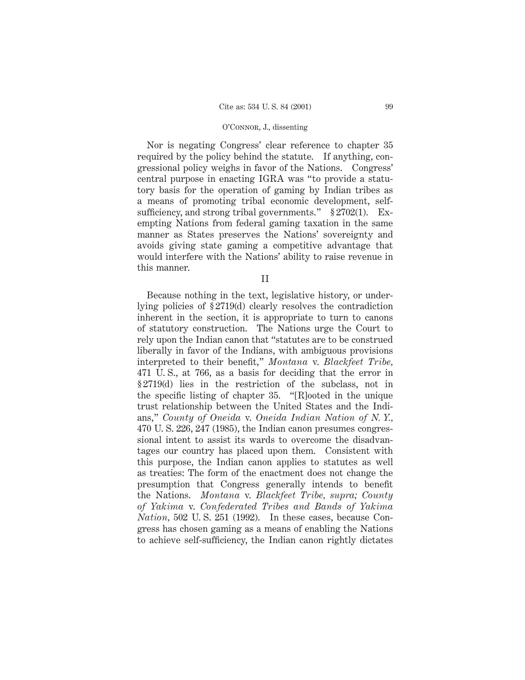Nor is negating Congress' clear reference to chapter 35 required by the policy behind the statute. If anything, congressional policy weighs in favor of the Nations. Congress' central purpose in enacting IGRA was "to provide a statutory basis for the operation of gaming by Indian tribes as a means of promoting tribal economic development, selfsufficiency, and strong tribal governments." § 2702(1). Exempting Nations from federal gaming taxation in the same manner as States preserves the Nations' sovereignty and avoids giving state gaming a competitive advantage that would interfere with the Nations' ability to raise revenue in this manner.

II

Because nothing in the text, legislative history, or underlying policies of § 2719(d) clearly resolves the contradiction inherent in the section, it is appropriate to turn to canons of statutory construction. The Nations urge the Court to rely upon the Indian canon that "statutes are to be construed liberally in favor of the Indians, with ambiguous provisions interpreted to their benefit," *Montana* v. *Blackfeet Tribe,* 471 U. S., at 766, as a basis for deciding that the error in § 2719(d) lies in the restriction of the subclass, not in the specific listing of chapter 35. "[R]ooted in the unique trust relationship between the United States and the Indians," *County of Oneida* v. *Oneida Indian Nation of N. Y.,* 470 U. S. 226, 247 (1985), the Indian canon presumes congressional intent to assist its wards to overcome the disadvantages our country has placed upon them. Consistent with this purpose, the Indian canon applies to statutes as well as treaties: The form of the enactment does not change the presumption that Congress generally intends to benefit the Nations. *Montana* v. *Blackfeet Tribe, supra; County of Yakima* v. *Confederated Tribes and Bands of Yakima Nation,* 502 U. S. 251 (1992). In these cases, because Congress has chosen gaming as a means of enabling the Nations to achieve self-sufficiency, the Indian canon rightly dictates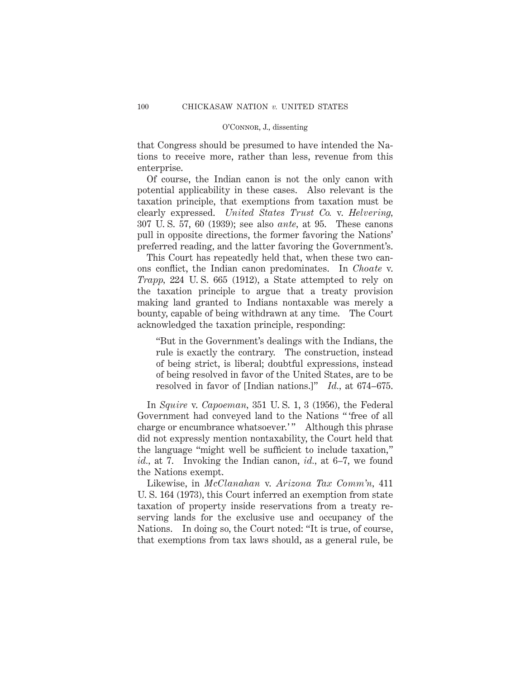that Congress should be presumed to have intended the Nations to receive more, rather than less, revenue from this enterprise.

Of course, the Indian canon is not the only canon with potential applicability in these cases. Also relevant is the taxation principle, that exemptions from taxation must be clearly expressed. *United States Trust Co.* v. *Helvering,* 307 U. S. 57, 60 (1939); see also *ante,* at 95. These canons pull in opposite directions, the former favoring the Nations' preferred reading, and the latter favoring the Government's.

This Court has repeatedly held that, when these two canons conflict, the Indian canon predominates. In *Choate* v. *Trapp,* 224 U. S. 665 (1912), a State attempted to rely on the taxation principle to argue that a treaty provision making land granted to Indians nontaxable was merely a bounty, capable of being withdrawn at any time. The Court acknowledged the taxation principle, responding:

"But in the Government's dealings with the Indians, the rule is exactly the contrary. The construction, instead of being strict, is liberal; doubtful expressions, instead of being resolved in favor of the United States, are to be resolved in favor of [Indian nations.]" *Id.,* at 674–675.

In *Squire* v. *Capoeman,* 351 U. S. 1, 3 (1956), the Federal Government had conveyed land to the Nations " 'free of all charge or encumbrance whatsoever.'" Although this phrase did not expressly mention nontaxability, the Court held that the language "might well be sufficient to include taxation," *id.,* at 7. Invoking the Indian canon, *id.,* at 6–7, we found the Nations exempt.

Likewise, in *McClanahan* v. *Arizona Tax Comm'n,* 411 U. S. 164 (1973), this Court inferred an exemption from state taxation of property inside reservations from a treaty reserving lands for the exclusive use and occupancy of the Nations. In doing so, the Court noted: "It is true, of course, that exemptions from tax laws should, as a general rule, be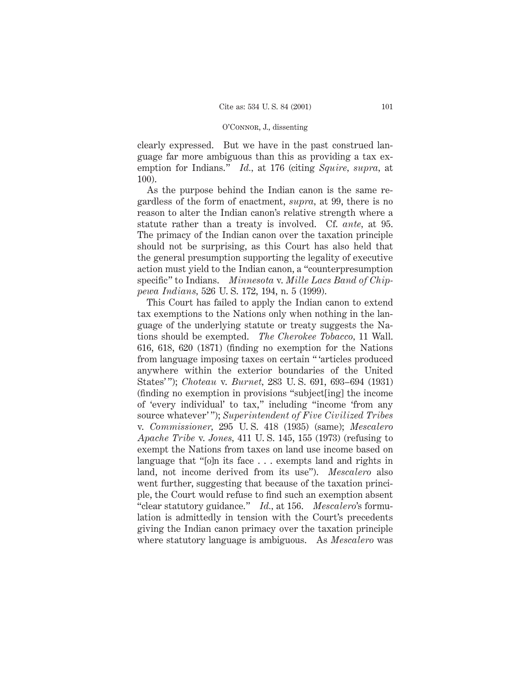clearly expressed. But we have in the past construed language far more ambiguous than this as providing a tax exemption for Indians." *Id.,* at 176 (citing *Squire, supra,* at 100).

As the purpose behind the Indian canon is the same regardless of the form of enactment, *supra,* at 99, there is no reason to alter the Indian canon's relative strength where a statute rather than a treaty is involved. Cf. *ante,* at 95. The primacy of the Indian canon over the taxation principle should not be surprising, as this Court has also held that the general presumption supporting the legality of executive action must yield to the Indian canon, a "counterpresumption specific" to Indians. *Minnesota* v. *Mille Lacs Band of Chippewa Indians,* 526 U. S. 172, 194, n. 5 (1999).

This Court has failed to apply the Indian canon to extend tax exemptions to the Nations only when nothing in the language of the underlying statute or treaty suggests the Nations should be exempted. *The Cherokee Tobacco,* 11 Wall. 616, 618, 620 (1871) (finding no exemption for the Nations from language imposing taxes on certain " 'articles produced anywhere within the exterior boundaries of the United States' "); *Choteau* v. *Burnet,* 283 U. S. 691, 693–694 (1931) (finding no exemption in provisions "subject[ing] the income of 'every individual' to tax," including "income 'from any source whatever' "); *Superintendent of Five Civilized Tribes* v. *Commissioner,* 295 U. S. 418 (1935) (same); *Mescalero Apache Tribe* v. *Jones,* 411 U. S. 145, 155 (1973) (refusing to exempt the Nations from taxes on land use income based on language that "[o]n its face . . . exempts land and rights in land, not income derived from its use"). *Mescalero* also went further, suggesting that because of the taxation principle, the Court would refuse to find such an exemption absent "clear statutory guidance." *Id.,* at 156. *Mescalero*'s formulation is admittedly in tension with the Court's precedents giving the Indian canon primacy over the taxation principle where statutory language is ambiguous. As *Mescalero* was